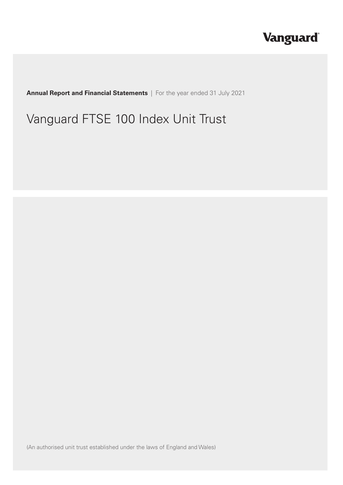# **Vanguard**

**Annual Report and Financial Statements** | For the year ended 31 July 2021

# Vanguard FTSE 100 Index Unit Trust

(An authorised unit trust established under the laws of England and Wales)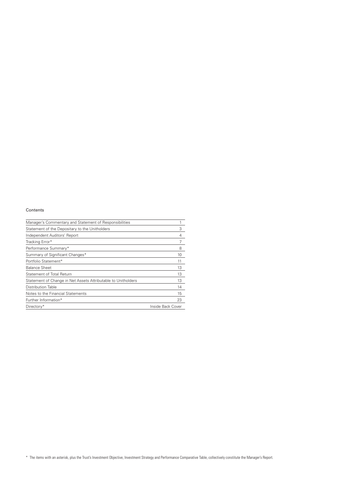#### Contents

| Manager's Commentary and Statement of Responsibilities        |                   |
|---------------------------------------------------------------|-------------------|
| Statement of the Depositary to the Unitholders                | 3                 |
| Independent Auditors' Report                                  | 4                 |
| Tracking Error*                                               |                   |
| Performance Summary*                                          | 8                 |
| Summary of Significant Changes*                               | 10                |
| Portfolio Statement*                                          | 11                |
| <b>Balance Sheet</b>                                          | 13                |
| <b>Statement of Total Return</b>                              | 13                |
| Statement of Change in Net Assets Attributable to Unitholders | 13                |
| Distribution Table                                            | 14                |
| Notes to the Financial Statements                             | 15                |
| Further Information*                                          | 23                |
| Directory*                                                    | Inside Back Cover |

\* The items with an asterisk, plus the Trust's Investment Objective, Investment Strategy and Performance Comparative Table, collectively constitute the Manager's Report.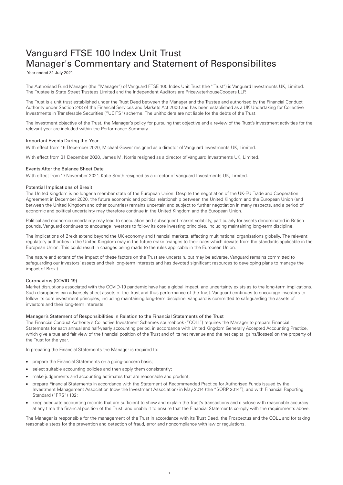## <span id="page-2-0"></span>Vanguard FTSE 100 Index Unit Trust Manager's Commentary and Statement of Responsibilites

Year ended 31 July 2021

The Authorised Fund Manager (the ''Manager'') of Vanguard FTSE 100 Index Unit Trust (the ''Trust'') is Vanguard Investments UK, Limited. The Trustee is State Street Trustees Limited and the Independent Auditors are PricewaterhouseCoopers LLP.

The Trust is a unit trust established under the Trust Deed between the Manager and the Trustee and authorised by the Financial Conduct Authority under Section 243 of the Financial Services and Markets Act 2000 and has been established as a UK Undertaking for Collective Investments in Transferable Securities ("UCITS") scheme. The unitholders are not liable for the debts of the Trust.

The investment objective of the Trust, the Manager's policy for pursuing that objective and a review of the Trust's investment activities for the relevant year are included within the Performance Summary.

#### Important Events During the Year

With effect from 16 December 2020, Michael Gower resigned as a director of Vanguard Investments UK, Limited.

With effect from 31 December 2020, James M. Norris resigned as a director of Vanguard Investments UK, Limited.

#### Events After the Balance Sheet Date

With effect from 17 November 2021, Katie Smith resigned as a director of Vanguard Investments UK, Limited.

#### Potential Implications of Brexit

The United Kingdom is no longer a member state of the European Union. Despite the negotiation of the UK-EU Trade and Cooperation Agreement in December 2020, the future economic and political relationship between the United Kingdom and the European Union (and between the United Kingdom and other countries) remains uncertain and subject to further negotiation in many respects, and a period of economic and political uncertainty may therefore continue in the United Kingdom and the European Union.

Political and economic uncertainty may lead to speculation and subsequent market volatility, particularly for assets denominated in British pounds. Vanguard continues to encourage investors to follow its core investing principles, including maintaining long-term discipline.

The implications of Brexit extend beyond the UK economy and financial markets, affecting multinational organisations globally. The relevant regulatory authorities in the United Kingdom may in the future make changes to their rules which deviate from the standards applicable in the European Union. This could result in changes being made to the rules applicable in the European Union.

The nature and extent of the impact of these factors on the Trust are uncertain, but may be adverse. Vanguard remains committed to safeguarding our investors' assets and their long-term interests and has devoted significant resources to developing plans to manage the impact of Brexit.

#### Coronavirus (COVID-19)

Market disruptions associated with the COVID-19 pandemic have had a global impact, and uncertainty exists as to the long-term implications. Such disruptions can adversely affect assets of the Trust and thus performance of the Trust. Vanguard continues to encourage investors to follow its core investment principles, including maintaining long-term discipline. Vanguard is committed to safeguarding the assets of investors and their long-term interests.

#### Manager's Statement of Responsibilities in Relation to the Financial Statements of the Trust

The Financial Conduct Authority's Collective Investment Schemes sourcebook ("COLL") requires the Manager to prepare Financial Statements for each annual and half-yearly accounting period, in accordance with United Kingdom Generally Accepted Accounting Practice, which give a true and fair view of the financial position of the Trust and of its net revenue and the net capital gains/(losses) on the property of the Trust for the year.

In preparing the Financial Statements the Manager is required to:

- prepare the Financial Statements on a going-concern basis;
- select suitable accounting policies and then apply them consistently;
- make judgements and accounting estimates that are reasonable and prudent;
- prepare Financial Statements in accordance with the Statement of Recommended Practice for Authorised Funds issued by the Investment Management Association (now the Investment Association) in May 2014 (the "SORP 2014"), and with Financial Reporting Standard ("FRS") 102;
- keep adequate accounting records that are sufficient to show and explain the Trust's transactions and disclose with reasonable accuracy at any time the financial position of the Trust, and enable it to ensure that the Financial Statements comply with the requirements above.

The Manager is responsible for the management of the Trust in accordance with its Trust Deed, the Prospectus and the COLL and for taking reasonable steps for the prevention and detection of fraud, error and noncompliance with law or regulations.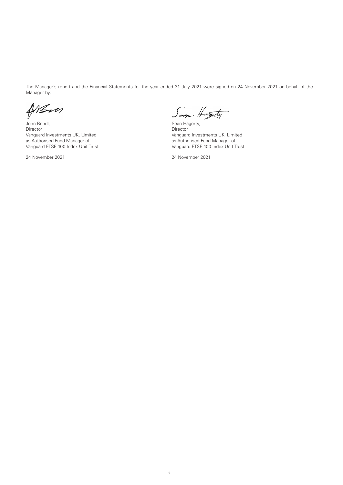The Manager's report and the Financial Statements for the year ended 31 July 2021 were signed on 24 November 2021 on behalf of the Manager by:

When

John Bendl, Sean Hagerty, Sean Hagerty, Sean Hagerty, Sean Hagerty, Sean Hagerty, Sean Hagerty, Sean Hagerty, Sean Hagerty, Sean Hagerty, Sean Hagerty, Sean Hagerty, Sean Hagerty, Sean Hagerty, Sean Hagerty, Sean Hagerty, Director<br>
Vanguard Investments UK, Limited<br>
Vanguard Investments UK, Limited<br>
Vanguard Investments UK, Limited Vanguard Investments UK, Limited Vanguard Investments UK, Limited Vanguard Investments UK, Limited Vanguard Investments UK, Limited Vanguard Investments UK, Limited Vanguard Investments UK, Limited Vanguard Investments UK, as Authorised Fund Manager of<br>Vanguard FTSE 100 Index Unit Trust

Soon Hasty

Vanguard FTSE 100 Index Unit Trust

24 November 2021 24 November 2021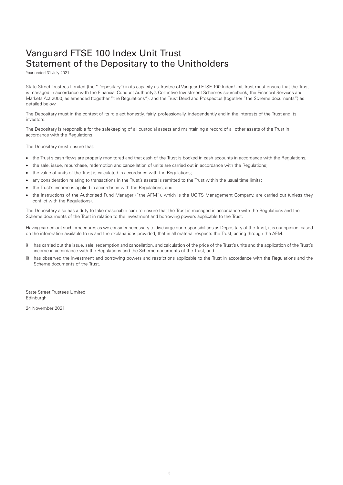## <span id="page-4-0"></span>Vanguard FTSE 100 Index Unit Trust Statement of the Depositary to the Unitholders

Year ended 31 July 2021

State Street Trustees Limited (the "Depositary") in its capacity as Trustee of Vanguard FTSE 100 Index Unit Trust must ensure that the Trust is managed in accordance with the Financial Conduct Authority's Collective Investment Schemes sourcebook, the Financial Services and Markets Act 2000, as amended (together "the Regulations"), and the Trust Deed and Prospectus (together "the Scheme documents") as detailed below.

The Depositary must in the context of its role act honestly, fairly, professionally, independently and in the interests of the Trust and its investors.

The Depositary is responsible for the safekeeping of all custodial assets and maintaining a record of all other assets of the Trust in accordance with the Regulations.

The Depositary must ensure that:

- the Trust's cash flows are properly monitored and that cash of the Trust is booked in cash accounts in accordance with the Regulations:
- the sale, issue, repurchase, redemption and cancellation of units are carried out in accordance with the Regulations;
- the value of units of the Trust is calculated in accordance with the Regulations;
- any consideration relating to transactions in the Trust's assets is remitted to the Trust within the usual time limits;
- the Trust's income is applied in accordance with the Regulations; and
- the instructions of the Authorised Fund Manager ("the AFM"), which is the UCITS Management Company, are carried out (unless they conflict with the Regulations).

The Depositary also has a duty to take reasonable care to ensure that the Trust is managed in accordance with the Regulations and the Scheme documents of the Trust in relation to the investment and borrowing powers applicable to the Trust.

Having carried out such procedures as we consider necessary to discharge our responsibilities as Depositary of the Trust, it is our opinion, based on the information available to us and the explanations provided, that in all material respects the Trust, acting through the AFM:

- i) has carried out the issue, sale, redemption and cancellation, and calculation of the price of the Trust's units and the application of the Trust's income in accordance with the Regulations and the Scheme documents of the Trust; and
- ii) has observed the investment and borrowing powers and restrictions applicable to the Trust in accordance with the Regulations and the Scheme documents of the Trust.

State Street Trustees Limited Edinburgh

24 November 2021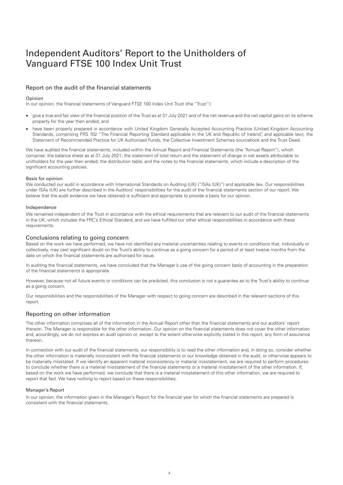## Independent Auditors' Report to the Unitholders of Vanguard FTSE 100 Index Unit Trust

#### Report on the audit of the financial statements

#### Opinion

In our opinion, the financial statements of Vanguard FTSE 100 Index Unit Trust (the "Trust"):

- give a true and fair view of the financial position of the Trust as at 31 July 2021 and of the net revenue and the net capital gains on its scheme property for the year then ended; and
- have been properly prepared in accordance with United Kingdom Generally Accepted Accounting Practice (United Kingdom Accounting Standards, comprising FRS 102 "The Financial Reporting Standard applicable in the UK and Republic of Ireland", and applicable law), the Statement of Recommended Practice for UK Authorised Funds, the Collective Investment Schemes sourcebook and the Trust Deed.

We have audited the financial statements, included within the Annual Report and Financial Statements (the "Annual Report"), which comprise: the balance sheet as at 31 July 2021; the statement of total return and the statement of change in net assets attributable to unitholders for the year then ended; the distribution table; and the notes to the financial statements, which include a description of the significant accounting policies.

#### Basis for opinion

We conducted our audit in accordance with International Standards on Auditing (UK) ("ISAs (UK)") and applicable law. Our responsibilities under ISAs (UK) are further described in the Auditors' responsibilities for the audit of the financial statements section of our report. We believe that the audit evidence we have obtained is sufficient and appropriate to provide a basis for our opinion.

#### Independence

We remained independent of the Trust in accordance with the ethical requirements that are relevant to our audit of the financial statements in the UK, which includes the FRC's Ethical Standard, and we have fulfilled our other ethical responsibilities in accordance with these requirements.

#### Conclusions relating to going concern

Based on the work we have performed, we have not identified any material uncertainties relating to events or conditions that, individually or collectively, may cast significant doubt on the Trust's ability to continue as a going concern for a period of at least twelve months from the date on which the financial statements are authorised for issue.

In auditing the financial statements, we have concluded that the Manager's use of the going concern basis of accounting in the preparation of the financial statements is appropriate.

However, because not all future events or conditions can be predicted, this conclusion is not a guarantee as to the Trust's ability to continue as a going concern.

Our responsibilities and the responsibilities of the Manager with respect to going concern are described in the relevant sections of this report.

#### Reporting on other information

The other information comprises all of the information in the Annual Report other than the financial statements and our auditors' report thereon. The Manager is responsible for the other information. Our opinion on the financial statements does not cover the other information and, accordingly, we do not express an audit opinion or, except to the extent otherwise explicitly stated in this report, any form of assurance thereon.

In connection with our audit of the financial statements, our responsibility is to read the other information and, in doing so, consider whether the other information is materially inconsistent with the financial statements or our knowledge obtained in the audit, or otherwise appears to be materially misstated. If we identify an apparent material inconsistency or material misstatement, we are required to perform procedures to conclude whether there is a material misstatement of the financial statements or a material misstatement of the other information. If, based on the work we have performed, we conclude that there is a material misstatement of this other information, we are required to report that fact. We have nothing to report based on these responsibilities.

#### Manager's Report

In our opinion, the information given in the Manager's Report for the financial year for which the financial statements are prepared is consistent with the financial statements.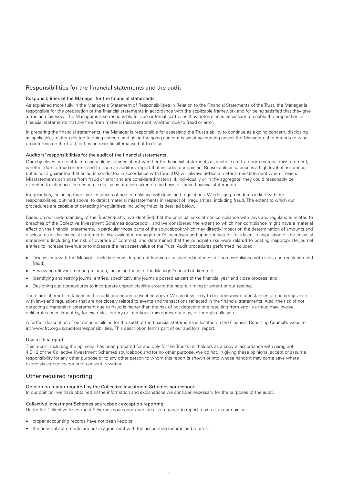#### Responsibilities for the financial statements and the audit

#### Responsibilities of the Manager for the financial statements

As explained more fully in the Manager's Statement of Responsibilities in Relation to the Financial Statements of the Trust, the Manager is responsible for the preparation of the financial statements in accordance with the applicable framework and for being satisfied that they give a true and fair view. The Manager is also responsible for such internal control as they determine is necessary to enable the preparation of financial statements that are free from material misstatement, whether due to fraud or error.

In preparing the financial statements, the Manager is responsible for assessing the Trust's ability to continue as a going concern, disclosing as applicable, matters related to going concern and using the going concern basis of accounting unless the Manager either intends to wind up or terminate the Trust, or has no realistic alternative but to do so.

#### Auditors' responsibilities for the audit of the financial statements

Our objectives are to obtain reasonable assurance about whether the financial statements as a whole are free from material misstatement, whether due to fraud or error, and to issue an auditors' report that includes our opinion. Reasonable assurance is a high level of assurance, but is not a guarantee that an audit conducted in accordance with ISAs (UK) will always detect a material misstatement when it exists. Misstatements can arise from fraud or error and are considered material if, individually or in the aggregate, they could reasonably be expected to influence the economic decisions of users taken on the basis of these financial statements.

Irregularities, including fraud, are instances of non-compliance with laws and regulations. We design procedures in line with our responsibilities, outlined above, to detect material misstatements in respect of irregularities, including fraud. The extent to which our procedures are capable of detecting irregularities, including fraud, is detailed below.

Based on our understanding of the Trust/industry, we identified that the principal risks of non-compliance with laws and regulations related to breaches of the Collective Investment Schemes sourcebook, and we considered the extent to which non-compliance might have a material effect on the financial statements, in particular those parts of the sourcebook which may directly impact on the determination of amounts and disclosures in the financial statements. We evaluated management's incentives and opportunities for fraudulent manipulation of the financial statements (including the risk of override of controls), and determined that the principal risks were related to posting inappropriate journal entries to increase revenue or to increase the net asset value of the Trust. Audit procedures performed included:

- Discussions with the Manager, including consideration of known or suspected instances of non-compliance with laws and regulation and fraud;
- Reviewing relevant meeting minutes, including those of the Manager's board of directors;
- Identifying and testing journal entries, specifically any journals posted as part of the financial year end close process; and
- Designing audit procedures to incorporate unpredictability around the nature, timing or extent of our testing.

There are inherent limitations in the audit procedures described above. We are less likely to become aware of instances of non-compliance with laws and regulations that are not closely related to events and transactions reflected in the financial statements. Also, the risk of not detecting a material misstatement due to fraud is higher than the risk of not detecting one resulting from error, as fraud may involve deliberate concealment by, for example, forgery or intentional misrepresentations, or through collusion.

A further description of our responsibilities for the audit of the financial statements is located on the Financial Reporting Council's website at: www.frc.org.uk/auditorsresponsibilities. This description forms part of our auditors' report.

#### Use of this report

This report, including the opinions, has been prepared for and only for the Trust's unitholders as a body in accordance with paragraph 4.5.12 of the Collective Investment Schemes sourcebook and for no other purpose. We do not, in giving these opinions, accept or assume responsibility for any other purpose or to any other person to whom this report is shown or into whose hands it may come save where expressly agreed by our prior consent in writing.

#### Other required reporting

#### Opinion on matter required by the Collective Investment Schemes sourcebook

In our opinion, we have obtained all the information and explanations we consider necessary for the purposes of the audit.

#### Collective Investment Schemes sourcebook exception reporting

Under the Collective Investment Schemes sourcebook we are also required to report to you if, in our opinion:

- proper accounting records have not been kept; or
- the financial statements are not in agreement with the accounting records and returns.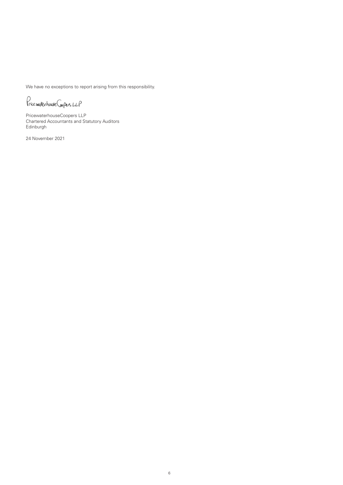We have no exceptions to report arising from this responsibility.

Price waterhouse Coopers LLP

PricewaterhouseCoopers LLP Chartered Accountants and Statutory Auditors Edinburgh

24 November 2021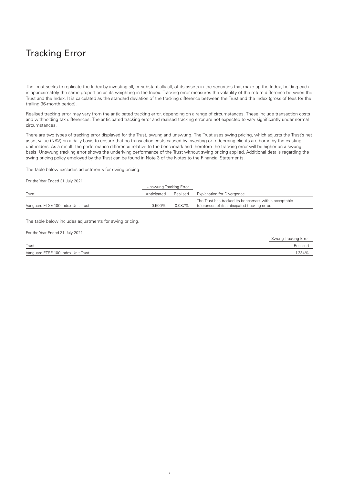## <span id="page-8-0"></span>Tracking Error

The Trust seeks to replicate the Index by investing all, or substantially all, of its assets in the securities that make up the Index, holding each in approximately the same proportion as its weighting in the Index. Tracking error measures the volatility of the return difference between the Trust and the Index. It is calculated as the standard deviation of the tracking difference between the Trust and the Index (gross of fees for the trailing 36-month period).

Realised tracking error may vary from the anticipated tracking error, depending on a range of circumstances. These include transaction costs and withholding tax differences. The anticipated tracking error and realised tracking error are not expected to vary significantly under normal circumstances.

There are two types of tracking error displayed for the Trust, swung and unswung. The Trust uses swing pricing, which adjusts the Trust's net asset value (NAV) on a daily basis to ensure that no transaction costs caused by investing or redeeming clients are borne by the existing unitholders. As a result, the performance difference relative to the benchmark and therefore the tracking error will be higher on a swung basis. Unswung tracking error shows the underlying performance of the Trust without swing pricing applied. Additional details regarding the swing pricing policy employed by the Trust can be found in Note 3 of the Notes to the Financial Statements.

The table below excludes adjustments for swing pricing.

For the Year Ended 31 July 2021

|                                    | Unswung Tracking Error |          |                                                       |
|------------------------------------|------------------------|----------|-------------------------------------------------------|
| Trust                              | Anticipated            | Realised | <b>Explanation for Divergence</b>                     |
|                                    |                        |          | The Trust has tracked its benchmark within acceptable |
| Vanguard FTSE 100 Index Unit Trust | 0.500%                 | 0.087%   | tolerances of its anticipated tracking error.         |

The table below includes adjustments for swing pricing.

| For the Year Ended 31 July 2021    |                      |
|------------------------------------|----------------------|
|                                    | Swung Tracking Error |
| Trust                              | Realised             |
| Vanguard FTSE 100 Index Unit Trust | 1.234%               |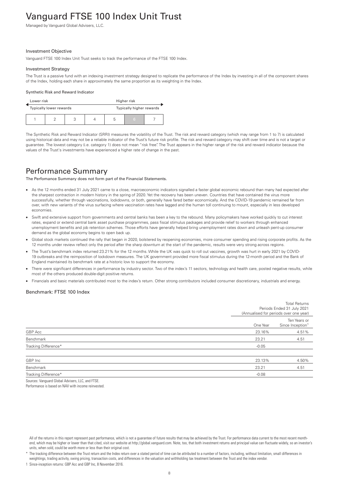## <span id="page-9-0"></span>Vanguard FTSE 100 Index Unit Trust

Managed by Vanguard Global Advisers, LLC.

#### Investment Objective

Vanguard FTSE 100 Index Unit Trust seeks to track the performance of the FTSE 100 Index.

#### Investment Strategy

The Trust is a passive fund with an indexing investment strategy designed to replicate the performance of the Index by investing in all of the component shares of the Index, holding each share in approximately the same proportion as its weighting in the Index.

#### Synthetic Risk and Reward Indicator

| Lower risk<br>Higher risk |                         |                          |  |   |     |  |
|---------------------------|-------------------------|--------------------------|--|---|-----|--|
|                           | Typically lower rewards | Typically higher rewards |  |   |     |  |
|                           |                         | っ                        |  | b | 467 |  |

The Synthetic Risk and Reward Indicator (SRRI) measures the volatility of the Trust. The risk and reward category (which may range from 1 to 7) is calculated using historical data and may not be a reliable indicator of the Trust's future risk profile. The risk and reward category may shift over time and is not a target or guarantee. The lowest category (i.e. category 1) does not mean "risk free". The Trust appears in the higher range of the risk and reward indicator because the values of the Trust's investments have experienced a higher rate of change in the past.

### Performance Summary

The Perfomance Summary does not form part of the Financial Statements.

- As the 12 months ended 31 July 2021 came to a close, macroeconomic indicators signalled a faster global economic rebound than many had expected after the sharpest contraction in modern history in the spring of 2020. Yet the recovery has been uneven. Countries that have contained the virus more successfully, whether through vaccinations, lockdowns, or both, generally have fared better economically. And the COVID-19 pandemic remained far from over, with new variants of the virus surfacing where vaccination rates have lagged and the human toll continuing to mount, especially in less developed economies.
- Swift and extensive support from governments and central banks has been a key to the rebound. Many policymakers have worked quickly to cut interest rates, expand or extend central bank asset purchase programmes, pass fiscal stimulus packages and provide relief to workers through enhanced unemployment benefits and job retention schemes. Those efforts have generally helped bring unemployment rates down and unleash pent-up consumer demand as the global economy begins to open back up.
- Global stock markets continued the rally that began in 2020, bolstered by reopening economies, more consumer spending and rising corporate profits. As the 12 months under review reflect only the period after the sharp downturn at the start of the pandemic, results were very strong across regions.
- The Trust's benchmark index returned 23.21% for the 12 months. While the UK was quick to roll out vaccines, growth was hurt in early 2021 by COVID-19 outbreaks and the reimposition of lockdown measures. The UK government provided more fiscal stimulus during the 12-month period and the Bank of England maintained its benchmark rate at a historic low to support the economy.
- There were significant differences in performance by industry sector. Two of the index's 11 sectors, technology and health care, posted negative results, while most of the others produced double-digit positive returns.
- Financials and basic materials contributed most to the index's return. Other strong contributors included consumer discretionary, industrials and energy.

#### Benchmark: FTSE 100 Index

|                      |          | <b>Total Returns</b><br>Periods Ended 31 July 2021<br>(Annualised for periods over one year) |
|----------------------|----------|----------------------------------------------------------------------------------------------|
|                      | One Year | Ten Years or<br>Since Inception <sup>1</sup>                                                 |
| GBP Acc              | 23.16%   | 4.51%                                                                                        |
| Benchmark            | 23.21    | 4.51                                                                                         |
| Tracking Difference* | $-0.05$  |                                                                                              |
| GBP Inc              | 23.13%   | 4.50%                                                                                        |
| Benchmark            | 23.21    | 4.51                                                                                         |
| Tracking Difference* | $-0.08$  |                                                                                              |

Sources: Vanguard Global Advisers, LLC, and FTSF. Performance is based on NAV with income reinvested.

1 Since-inception returns: GBP Acc and GBP Inc, 8 November 2016.

All of the returns in this report represent past performance, which is not a guarantee of future results that may be achieved by the Trust. For performance data current to the most recent monthend, which may be higher or lower than that cited, visit our website at http://global.vanguard.com. Note, too, that both investment returns and principal value can fluctuate widely, so an investor's units, when sold, could be worth more or less than their original cost.

The tracking difference between the Trust return and the Index return over a stated period of time can be attributed to a number of factors, including, without limitation, small differences in weightings, trading activity, swing pricing, transaction costs, and differences in the valuation and withholding tax treatment between the Trust and the index vendor.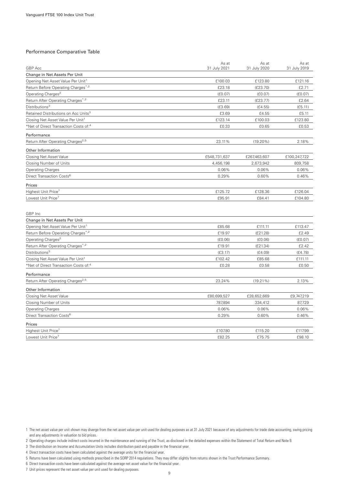#### Performance Comparative Table

|                                                   | As at        | As at        | As at        |
|---------------------------------------------------|--------------|--------------|--------------|
| GBP Acc                                           | 31 July 2021 | 31 July 2020 | 31 July 2019 |
| Change in Net Assets Per Unit                     |              |              |              |
| Opening Net Asset Value Per Unit <sup>1</sup>     | £100.03      | £123.80      | £121.16      |
| Return Before Operating Charges*,2                | £23.18       | (E23.70)     | £2.71        |
| Operating Charges <sup>2</sup>                    | (E0.07)      | (E0.07)      | (E0.07)      |
| Return After Operating Charges*,2                 | £23.11       | (E23.77)     | £2.64        |
| Distributions <sup>3</sup>                        | (E3.69)      | (E4.55)      | (E5.11)      |
| Retained Distributions on Acc Units <sup>3</sup>  | £3.69        | £4.55        | £5.11        |
| Closing Net Asset Value Per Unit <sup>1</sup>     | £123.14      | £100.03      | £123.80      |
| *Net of Direct Transaction Costs of: <sup>4</sup> | £0.33        | £0.65        | £0.53        |
| Performance                                       |              |              |              |
| Return After Operating Charges <sup>2,5</sup>     | 23.11%       | $(19.20\%)$  | 2.18%        |
| Other Information                                 |              |              |              |
| Closing Net Asset Value                           | £548,731,637 | £267,463,607 | £100,247,722 |
| Closing Number of Units                           | 4,456,198    | 2,673,942    | 809,758      |
| <b>Operating Charges</b>                          | 0.06%        | 0.06%        | 0.06%        |
| Direct Transaction Costs <sup>6</sup>             | 0.29%        | 0.60%        | 0.46%        |
| Prices                                            |              |              |              |
| Highest Unit Price <sup>7</sup>                   | £125.72      | £128.36      | £126.04      |
| Lowest Unit Price <sup>7</sup>                    | £95.91       | £84.41       | £104.80      |
|                                                   |              |              |              |
| GBP Inc                                           |              |              |              |
| Change in Net Assets Per Unit                     |              |              |              |
| Opening Net Asset Value Per Unit <sup>1</sup>     | £85.68       | £111.11      | £113.47      |
| Return Before Operating Charges*,2                | £19.97       | (E21.28)     | £2.49        |
| Operating Charges <sup>2</sup>                    | (E0.06)      | (E0.06)      | (E0.07)      |
| Return After Operating Charges*,2                 | £19.91       | (E21.34)     | £2.42        |
| Distributions <sup>3</sup>                        | (E3.17)      | (E4.09)      | (E4.78)      |
| Closing Net Asset Value Per Unit <sup>1</sup>     | £102.42      | £85.68       | £111.11      |
| *Net of Direct Transaction Costs of: <sup>4</sup> | £0.28        | £0.58        | £0.50        |
| Performance                                       |              |              |              |
| Return After Operating Charges <sup>2,5</sup>     | 23.24%       | $(19.21\%)$  | 2.13%        |
| Other Information                                 |              |              |              |
| Closing Net Asset Value                           | £80,699,527  | £28,652,669  | £9,747,219   |
| Closing Number of Units                           | 787,894      | 334,412      | 87,729       |
| <b>Operating Charges</b>                          | 0.06%        | 0.06%        | 0.06%        |
| Direct Transaction Costs <sup>6</sup>             | 0.29%        | 0.60%        | 0.46%        |
|                                                   |              |              |              |
| Prices                                            |              |              |              |
| Highest Unit Price <sup>7</sup>                   | £107.80      | £115.20      | £117.99      |
| Lowest Unit Price <sup>7</sup>                    | £82.25       | £75.75       | £98.10       |

2 Operating charges include indirect costs incurred in the maintenance and running of the Trust, as disclosed in the detailed expenses within the Statement of Total Return and Note 9.

3 The distribution on Income and Accumulation Units includes distribution paid and payable in the financial year.

4 Direct transaction costs have been calculated against the average units for the financial year.

6 Direct transaction costs have been calculated against the average net asset value for the financial year. 7 Unit prices represent the net asset value per unit used for dealing purposes.

<sup>1</sup> The net asset value per unit shown may diverge from the net asset value per unit used for dealing purposes as at 31 July 2021 because of any adjustments for trade date accounting, swing pricing and any adjustments in valuation to bid prices.

<sup>5</sup> Returns have been calculated using methods prescribed in the SORP 2014 regulations. They may differ slightly from returns shown in the Trust Performance Summary.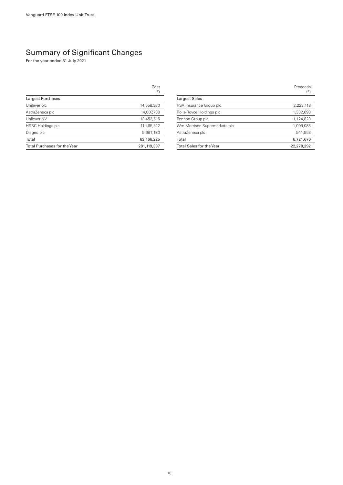### <span id="page-11-0"></span>Summary of Significant Changes

For the year ended 31 July 2021

|                                     | Cost<br>(E)   |
|-------------------------------------|---------------|
| Largest Purchases                   |               |
| Unilever plc                        | 14,558,330    |
| AstraZeneca plc                     | 14,007,738    |
| Unilever NV                         | 13,453,515    |
| <b>HSBC Holdings plc</b>            | 11,465,512    |
| Diageo plc                          | 9,681,130     |
| Total                               | 63,166,225    |
| <b>Total Purchases for the Year</b> | 281, 119, 337 |

Proceeds (£) Largest Sales RSA Insurance Group plc 2,223,118 Rolls-Royce Holdings plc 1,332,693 Pennon Group plc 1,124,823 Wm Morrison Supermarkets plc 1,099,083 AstraZeneca plc 941,953 Total 6,721,670 Total Sales for the Year 22,278,292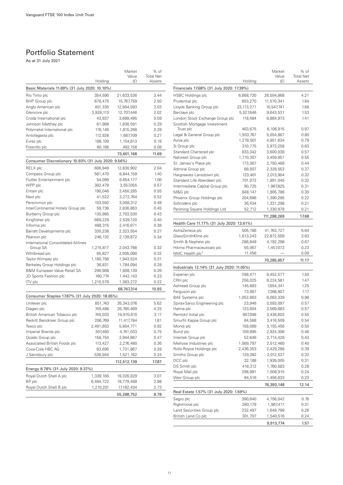### <span id="page-12-0"></span>Portfolio Statement

As at 31 July 2021

|                                                     |                    | Market                 | % of             |  |  |  |
|-----------------------------------------------------|--------------------|------------------------|------------------|--|--|--|
|                                                     | Holding            | Value<br>(E)           | <b>Total Net</b> |  |  |  |
| Basic Materials 11.69% (31 July 2020: 10.10%)       | Assets             |                        |                  |  |  |  |
| Rio Tinto plc<br>354,590<br>21,633,536              |                    |                        |                  |  |  |  |
| BHP Group plc                                       | 678,475            | 15,767,759             | 3.44<br>2.50     |  |  |  |
| Anglo American plc                                  | 401,335            | 12,804,593             | 2.03             |  |  |  |
| Glencore plc                                        | 3,928,113          | 12,707,446             | 2.02             |  |  |  |
| Croda International plc                             | 43,937             | 3,699,495              | 0.59             |  |  |  |
| Johnson Matthey plc                                 | 61,968             | 1,838,591              | 0.29             |  |  |  |
| Polymetal International plc                         | 116,140            | 1,815,268              | 0.29             |  |  |  |
| Antofagasta plc                                     | 112,928            | 1,687,709              | 0.27             |  |  |  |
| Evraz plc                                           | 188,109            | 1,154,613              | 0.18             |  |  |  |
| Fresnillo plc                                       | 60,166             | 492,158                | 0.08             |  |  |  |
|                                                     |                    |                        | 11.69            |  |  |  |
| Consumer Discretionary 10.93% (31 July 2020: 9.56%) |                    | 73,601,168             |                  |  |  |  |
| RELX plc                                            |                    | 12,830,902             | 2.04             |  |  |  |
| Compass Group plc                                   | 606,949<br>581,470 | 8,844,159              | 1.40             |  |  |  |
| Flutter Entertainment plc                           | 54,099             | 6,654,177              | 1.06             |  |  |  |
| WPP plc                                             | 382,479            | 3,557,055              | 0.57             |  |  |  |
| Entain plc                                          | 190,046            |                        |                  |  |  |  |
| Next plc                                            | 41,522             | 3,450,285<br>3,272,764 | 0.55<br>0.52     |  |  |  |
| Persimmon plc                                       | 103,592            | 3,008,312              | 0.48             |  |  |  |
| InterContinental Hotels Group plc                   | 59,736             | 2,836,863              | 0.45             |  |  |  |
| Burberry Group plc                                  | 130,985            | 2,703,530              | 0.43             |  |  |  |
| Kingfisher plc                                      | 689,229            | 2,539,120              | 0.40             |  |  |  |
| Informa plc                                         | 488,315            | 2,416,671              | 0.38             |  |  |  |
| Barratt Developments plc                            | 330,238            | 2,323,554              | 0.37             |  |  |  |
| Pearson plc                                         | 246,132            | 2,139,872              | 0.34             |  |  |  |
| <b>International Consolidated Airlines</b>          |                    |                        |                  |  |  |  |
| Group SA                                            | 1,215,817          | 2,043,788              | 0.32             |  |  |  |
| Whitbread plc                                       | 65,827             | 2,005,090              | 0.32             |  |  |  |
| Taylor Wimpey plc                                   | 1,180,756          | 1,943,524              | 0.31             |  |  |  |
| Berkeley Group Holdings plc                         | 36,831             | 1,784,094              | 0.28             |  |  |  |
| <b>B&amp;M European Value Retail SA</b>             | 290,908            | 1,608,139              | 0.26             |  |  |  |
| JD Sports Fashion plc                               | 160,774            | 1,442,143              | 0.23             |  |  |  |
| ITV plc                                             | 1,215,579          | 1,363,272              | 0.22             |  |  |  |
|                                                     |                    | 68,767,314             | 10.93            |  |  |  |
| Consumer Staples 17.87% (31 July 2020: 18.65%)      |                    |                        |                  |  |  |  |
| Unilever plc                                        | 851,743            | 35,343,076             | 5.62             |  |  |  |
| Diageo plc                                          | 749,488            | 26,760,469             | 4.25             |  |  |  |
| British American Tobacco plc                        | 745,033            | 19,970,610             | 3.17             |  |  |  |
| Reckitt Benckiser Group plc                         | 206,769            | 11,417,784             | 1.81             |  |  |  |
| Tesco plc                                           | 2,491,853          | 5,804,771              | 0.92             |  |  |  |
| Imperial Brands plc                                 | 307,460            | 4,741,033              | 0.75             |  |  |  |
| Ocado Group plc                                     | 158,754            | 2,944,887              | 0.47             |  |  |  |
| Associated British Foods plc                        | 113,427            | 2,276,480              | 0.36             |  |  |  |
| Coca-Cola HBC AG                                    | 63,695             | 1,731,867              | 0.28             |  |  |  |
| J Sainsbury plc                                     | 536,944            | 1,521,162              | 0.24             |  |  |  |
|                                                     |                    | 112,512,139            | 17.87            |  |  |  |
| Energy 8.78% (31 July 2020: 9.37%)                  |                    |                        |                  |  |  |  |
| Royal Dutch Shell A plc                             | 1,339,165          | 19,326,829             | 3.07             |  |  |  |
| BP plc                                              | 6,494,722          | 18,779,489             | 2.98             |  |  |  |
| Royal Dutch Shell B plc                             | 1,210,201          | 17,182,434             | 2.73             |  |  |  |
|                                                     |                    | 55,288,752             | 8.78             |  |  |  |
|                                                     |                    |                        |                  |  |  |  |

|                                            |                    | Market      | % of             |
|--------------------------------------------|--------------------|-------------|------------------|
|                                            |                    | Value       | <b>Total Net</b> |
|                                            | Holding            | (E)         | Assets           |
| Financials 17.68% (31 July 2020: 17.39%)   |                    |             |                  |
| <b>HSBC Holdings plc</b>                   | 6,668,730          | 26,504,868  | 4.21             |
| Prudential plc                             | 853,270            | 11,570,341  | 1.84             |
| Lloyds Banking Group plc                   | 23,113,271         | 10,547,741  | 1.68             |
| Barclays plc                               | 5,527,646          | 9,643,531   | 1.53             |
| London Stock Exchange Group plc            | 118,484            | 8,864,973   | 1.41             |
| Scottish Mortgage Investment               |                    |             |                  |
| Trust plc                                  | 463,875            | 6,106,915   | 0.97             |
| Legal & General Group plc                  | 1,933,767          | 5,054,867   | 0.80             |
| Aviva plc                                  | 1,278,501          | 4,951,634   | 0.79             |
| 3i Group plc                               | 310,775            | 3,973,258   | 0.63             |
| Standard Chartered plc                     | 833,342            | 3,600,038   | 0.57             |
| Natwest Group plc                          | 1,710,307          | 3,459,951   | 0.55             |
| St. James's Place plc                      | 173,367            | 2,750,468   | 0.44             |
| Admiral Group plc                          | 68,507             | 2,328,553   | 0.37             |
| Hargreaves Lansdown plc                    | 123,401            | 2,013,904   | 0.32             |
| Standard Life Aberdeen plc                 | 701,072            | 1,991,045   | 0.32             |
| Intermediate Capital Group plc             | 90,725             | 1,967,825   | 0.31             |
| M&G plc                                    | 848,147            | 1,905,786   | 0.30             |
| Phoenix Group Holdings plc                 | 204,696            | 1,390,295   | 0.22             |
| Schroders plc                              | 36,434             | 1,331,298   | 0.21             |
| Pershing Square Holdings Ltd               | 52,712             | 1,330,978   | 0.21             |
|                                            |                    | 111,288,269 | 17.68            |
| Health Care 11.17% (31 July 2020: 13.61%)  |                    |             |                  |
| AstraZeneca plc                            | 505,186            | 41,763,727  | 6.64             |
| GlaxoSmithKline plc                        | 1,613,243          | 22,872,559  | 3.63             |
| Smith & Nephew plc                         | 286,849            | 4,192,298   | 0.67             |
| Hikma Pharmaceuticals plc                  | 55,067             | 1,457,073   | 0.23             |
| NMC Health plc <sup>1</sup>                | 11,456             |             | 0.00             |
|                                            |                    | 70,285,657  | 11.17            |
| Industrials 12.14% (31 July 2020: 11.05%)  |                    |             |                  |
| Experian plc                               | 298,471            | 9,452,577   | 1.50             |
| CRH plc                                    | 256,025            | 9,224,581   | 1.47             |
| Ashtead Group plc                          | 145,883            | 7,854,341   | 1.25             |
| Ferguson plc                               | 73,067             | 7,368,807   | 1.17             |
| <b>BAE Systems plc</b>                     | 1,052,663          | 6,063,339   | 0.96             |
| Spirax-Sarco Engineering plc               | 23,946             | 3,593,097   | 0.57             |
| Halma plc                                  | 123,604            | 3,569,683   | 0.57             |
| Rentokil Initial plc                       | 607,098            | 3,438,603   | 0.55             |
| Smurfit Kappa Group plc                    | 84,588             | 3,416,509   | 0.54             |
| Mondi plc                                  | 158,089            | 3,155,456   | 0.50             |
| Bunzl plc                                  | 109,895            | 2,924,306   | 0.46             |
| Intertek Group plc                         | 52,646             | 2,714,428   | 0.43             |
| Melrose Industries plc                     | 1,569,797          | 2,512,460   | 0.40             |
| Rolls-Royce Holdings plc                   | 2,436,353          | 2,429,288   | 0.39             |
| Smiths Group plc                           | 129,382            | 2,012,537   | 0.32             |
| DCC plc                                    | 32,188             | 1,939,005   | 0.31             |
| DS Smith plc                               | 416,312            | 1,760,583   | 0.28             |
| Royal Mail plc                             | 298,991            | 1,506,915   | 0.24             |
| Weir Group plc                             | 84,516             | 1,456,633   | 0.23             |
|                                            |                    | 76,393,148  | 12.14            |
| Real Estate 1.57% (31 July 2020: 1.59%)    |                    |             |                  |
|                                            |                    |             |                  |
| Segro plc                                  | 390,640            | 4,756,042   | 0.76             |
| Rightmove plc<br>Land Securities Group plc | 280,179            | 1,967,417   | 0.31             |
| British Land Co plc                        | 232,497<br>301,707 | 1,649,799   | 0.26<br>0.24     |
|                                            |                    | 1,540,516   |                  |
|                                            |                    | 9,913,774   | 1.57             |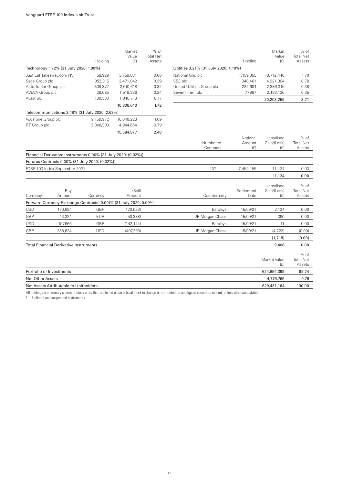|                                                                |           | Market     | $%$ of           |                     |
|----------------------------------------------------------------|-----------|------------|------------------|---------------------|
|                                                                |           | Value      | <b>Total Net</b> |                     |
|                                                                | Holding   | (f)        | Assets           |                     |
| Technology 1.72% (31 July 2020: 1.90%)                         |           |            |                  | Utilities           |
| Just Eat Takeaway.com NV                                       | 58,929    | 3,759,081  | 0.60             | Nationa             |
| Sage Group plc                                                 | 352,315   | 2,471,842  | 0.39             | SSE plc             |
| Auto Trader Group plc                                          | 308,377   | 2,010,618  | 0.32             | United I            |
| AVEVA Group plc                                                | 38,685    | 1,518,386  | 0.24             | Severn <sup>'</sup> |
| Avast plc                                                      | 180,530   | 1,046,713  | 0.17             |                     |
|                                                                |           | 10,806,640 | 1.72             |                     |
| Telecommunications 2.48% (31 July 2020: 2.63%)                 |           |            |                  |                     |
| Vodafone Group plc                                             | 9,159,972 | 10,640,223 | 1.69             |                     |
| <b>BT</b> Group plc                                            | 2,848,303 | 4,944,654  | 0.79             |                     |
|                                                                |           | 15,584,877 | 2.48             |                     |
|                                                                |           |            |                  |                     |
|                                                                |           |            |                  |                     |
| Financial Derivative Instruments 0.00% (31 July 2020: (0.02%)) |           |            |                  |                     |
| Futures Contracts 0.00% (31 July 2020: (0.02%))                |           |            |                  |                     |
| FTSE 100 Index September 2021                                  |           |            |                  |                     |
|                                                                |           |            |                  |                     |

|                                       |           | Market     | $%$ of           |
|---------------------------------------|-----------|------------|------------------|
|                                       |           | Value      | <b>Total Net</b> |
|                                       | Holding   | (E)        | Assets           |
| Utilities 3.21% (31 July 2020: 4.10%) |           |            |                  |
| National Grid plc                     | 1,159,355 | 10,712,440 | 1.70             |
| SSE plc                               | 340.461   | 4.921.364  | 0.78             |
| United Utilities Group plc            | 222,604   | 2,386,315  | 0.38             |
| Severn Trent plc                      | 77.997    | 2,183,136  | 0.35             |
|                                       |           | 20,203,255 | 3.21             |

|                          |                                               |                                                                |                                                                   | Number of       | Notional<br>Amount | Unrealised<br>Gain/(Loss)        | $%$ of<br><b>Total Net</b>           |
|--------------------------|-----------------------------------------------|----------------------------------------------------------------|-------------------------------------------------------------------|-----------------|--------------------|----------------------------------|--------------------------------------|
|                          |                                               |                                                                |                                                                   | Contracts       | (E)                | (f)                              | Assets                               |
|                          |                                               | Financial Derivative Instruments 0.00% (31 July 2020: (0.02%)) |                                                                   |                 |                    |                                  |                                      |
|                          |                                               | Futures Contracts 0.00% (31 July 2020: (0.02%))                |                                                                   |                 |                    |                                  |                                      |
|                          | FTSE 100 Index September 2021                 |                                                                |                                                                   | 107             | 7,454,155          | 11,124                           | 0.00                                 |
|                          |                                               |                                                                |                                                                   |                 |                    | 11,124                           | 0.00                                 |
| Currency                 | Buy<br>Amount                                 | Currency                                                       | (Sell)<br>Amount                                                  | Counterparty    | Settlement<br>Date | Unrealised<br>Gain/(Loss)<br>(E) | $%$ of<br><b>Total Net</b><br>Assets |
|                          |                                               |                                                                | Forward Currency Exchange Contracts (0.00)% (31 July 2020: 0.00%) |                 |                    |                                  |                                      |
| <b>USD</b>               | 170,694                                       | GBP                                                            | (120, 623)                                                        | Barclays        | 15/09/21           | 2,134                            | 0.00                                 |
| <b>GBP</b>               | 43,324                                        | <b>EUR</b>                                                     | (50, 338)                                                         | JP Morgan Chase | 15/09/21           | 360                              | 0.00                                 |
| <b>USD</b>               | 197.666                                       | GBP                                                            | (142, 144)                                                        | Barclays        | 15/09/21           | 11                               | 0.00                                 |
| <b>GBP</b>               | 288,624                                       | <b>USD</b>                                                     | (407, 203)                                                        | JP Morgan Chase | 15/09/21           | (4, 223)                         | (0.00)                               |
|                          |                                               |                                                                |                                                                   |                 |                    | (1,718)                          | (0.00)                               |
|                          | <b>Total Financial Derivative Instruments</b> |                                                                |                                                                   |                 |                    | 9,406                            | 0.00                                 |
|                          |                                               |                                                                |                                                                   |                 |                    | Market Value<br>(E)              | $%$ of<br><b>Total Net</b><br>Assets |
| Portfolio of Investments |                                               |                                                                |                                                                   |                 |                    | 624,654,399                      | 99.24                                |
| <b>Net Other Assets</b>  |                                               |                                                                |                                                                   |                 |                    | 4,776,765                        | 0.76                                 |
|                          | Net Assets Attributable to Unitholders        |                                                                |                                                                   |                 |                    | 629,431,164                      | 100.00                               |

All holdings are ordinary shares or stock units that are listed on an official stock exchange or are traded on an eligible securities market, unless otherwise stated.

1 Unlisted and suspended instruments.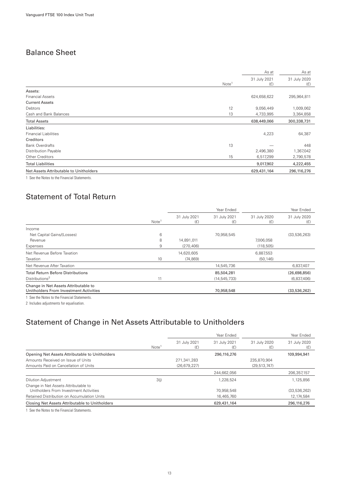### <span id="page-14-0"></span>Balance Sheet

|                                                                                                                                                                                                                                                                                                                                                                                      |                   | As at               | As at               |
|--------------------------------------------------------------------------------------------------------------------------------------------------------------------------------------------------------------------------------------------------------------------------------------------------------------------------------------------------------------------------------------|-------------------|---------------------|---------------------|
|                                                                                                                                                                                                                                                                                                                                                                                      | Note <sup>1</sup> | 31 July 2021<br>(E) | 31 July 2020<br>(E) |
| Assets:                                                                                                                                                                                                                                                                                                                                                                              |                   |                     |                     |
| <b>Financial Assets</b>                                                                                                                                                                                                                                                                                                                                                              |                   | 624,658,622         | 295,964,811         |
| <b>Current Assets</b>                                                                                                                                                                                                                                                                                                                                                                |                   |                     |                     |
| Debtors                                                                                                                                                                                                                                                                                                                                                                              | 12                | 9,056,449           | 1,009,062           |
| Cash and Bank Balances                                                                                                                                                                                                                                                                                                                                                               | 13                | 4,733,995           | 3,364,858           |
| <b>Total Assets</b>                                                                                                                                                                                                                                                                                                                                                                  |                   | 638,449,066         | 300,338,731         |
| Liabilities:                                                                                                                                                                                                                                                                                                                                                                         |                   |                     |                     |
| <b>Financial Liabilities</b>                                                                                                                                                                                                                                                                                                                                                         |                   | 4,223               | 64,387              |
| Creditors                                                                                                                                                                                                                                                                                                                                                                            |                   |                     |                     |
| <b>Bank Overdrafts</b>                                                                                                                                                                                                                                                                                                                                                               | 13                |                     | 448                 |
| Distribution Payable                                                                                                                                                                                                                                                                                                                                                                 |                   | 2,496,380           | 1,367,042           |
| Other Creditors                                                                                                                                                                                                                                                                                                                                                                      | 15                | 6,517,299           | 2,790,578           |
| <b>Total Liabilities</b>                                                                                                                                                                                                                                                                                                                                                             |                   | 9,017,902           | 4,222,455           |
| Net Assets Attributable to Unitholders                                                                                                                                                                                                                                                                                                                                               |                   | 629,431,164         | 296,116,276         |
| $\overline{a}$ $\overline{a}$ $\overline{a}$ $\overline{b}$ $\overline{a}$ $\overline{b}$ $\overline{c}$ $\overline{c}$ $\overline{c}$ $\overline{c}$ $\overline{c}$ $\overline{c}$ $\overline{c}$ $\overline{c}$ $\overline{c}$ $\overline{c}$ $\overline{c}$ $\overline{c}$ $\overline{c}$ $\overline{c}$ $\overline{c}$ $\overline{c}$ $\overline{c}$ $\overline{c}$ $\overline{$ |                   |                     |                     |

1 See the Notes to the Financial Statements.

### Statement of Total Return

|                                                                                |                   |                     | Year Ended          |                     | Year Ended          |
|--------------------------------------------------------------------------------|-------------------|---------------------|---------------------|---------------------|---------------------|
|                                                                                | Note <sup>1</sup> | 31 July 2021<br>(E) | 31 July 2021<br>(E) | 31 July 2020<br>(E) | 31 July 2020<br>(E) |
| Income                                                                         |                   |                     |                     |                     |                     |
| Net Capital Gains/(Losses)                                                     | 6                 |                     | 70,958,545          |                     | (33, 536, 263)      |
| Revenue                                                                        | 8                 | 14,891,011          |                     | 7,006,058           |                     |
| Expenses                                                                       | 9                 | (270.406)           |                     | (118, 505)          |                     |
| Net Revenue Before Taxation                                                    |                   | 14,620,605          |                     | 6,887,553           |                     |
| Taxation                                                                       | 10                | (74, 869)           |                     | (50, 146)           |                     |
| Net Revenue After Taxation                                                     |                   |                     | 14,545,736          |                     | 6,837,407           |
| <b>Total Return Before Distributions</b>                                       |                   |                     | 85,504,281          |                     | (26,698,856)        |
| Distributions <sup>2</sup>                                                     | 11                |                     | (14, 545, 733)      |                     | (6,837,406)         |
| Change in Net Assets Attributable to<br>Unitholders From Investment Activities |                   |                     | 70,958,548          |                     | (33,536,262)        |
| See the Notes to the Financial Statements.                                     |                   |                     |                     |                     |                     |

2 Includes adjustments for equalisation.

## Statement of Change in Net Assets Attributable to Unitholders

|                                                                                |                   |                     | Year Ended          |                     | Year Ended          |
|--------------------------------------------------------------------------------|-------------------|---------------------|---------------------|---------------------|---------------------|
|                                                                                | Note <sup>1</sup> | 31 July 2021<br>(£) | 31 July 2021<br>(E) | 31 July 2020<br>(E) | 31 July 2020<br>(E) |
| Opening Net Assets Attributable to Unitholders                                 |                   |                     | 296,116,276         |                     | 109,994,941         |
| Amounts Received on Issue of Units                                             |                   | 271.341.283         |                     | 235.870.904         |                     |
| Amounts Paid on Cancellation of Units                                          |                   | (26, 679, 227)      |                     | (29, 513, 747)      |                     |
|                                                                                |                   |                     | 244,662,056         |                     | 206,357,157         |
| <b>Dilution Adjustment</b>                                                     | 3(i)              |                     | 1.228.524           |                     | 1,125,856           |
| Change in Net Assets Attributable to<br>Unitholders From Investment Activities |                   |                     | 70.958.548          |                     | (33, 536, 262)      |
| Retained Distribution on Accumulation Units                                    |                   |                     | 16.465.760          |                     | 12, 174, 584        |
| Closing Net Assets Attributable to Unitholders                                 |                   |                     | 629,431,164         |                     | 296,116,276         |

1 See the Notes to the Financial Statements.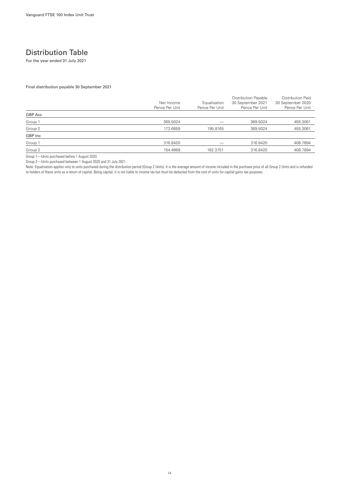### <span id="page-15-0"></span>Distribution Table

For the year ended 31 July 2021

Final distribution payable 30 September 2021

|         | Net Income<br>Pence Per Unit | Equalisation<br>Pence Per Unit | <b>Distribution Payable</b><br>30 September 2021<br>Pence Per Unit | Distribution Paid<br>30 September 2020<br>Pence Per Unit |
|---------|------------------------------|--------------------------------|--------------------------------------------------------------------|----------------------------------------------------------|
| GBP Acc |                              |                                |                                                                    |                                                          |
| Group 1 | 369.5024                     |                                | 369.5024                                                           | 455.3061                                                 |
| Group 2 | 173.6859                     | 195.8165                       | 369.5024                                                           | 455.3061                                                 |
| GBP Inc |                              |                                |                                                                    |                                                          |
| Group 1 | 316.8420                     |                                | 316,8420                                                           | 408.7894                                                 |
| Group 2 | 154.4669                     | 162.3751                       | 316,8420                                                           | 408.7894                                                 |

Group 1—Units purchased before 1 August 2020.

Group 2—Units purchased between 1 August 2020 and 31 July 2021.

Note: Equalisation applies only to units purchased during the distribution period (Group 2 Units). It is the average amount of income included in the purchase price of all Group 2 Units and is refunded to holders of these units as a return of capital. Being capital, it is not liable to income tax but must be deducted from the cost of units for capital gains tax purposes.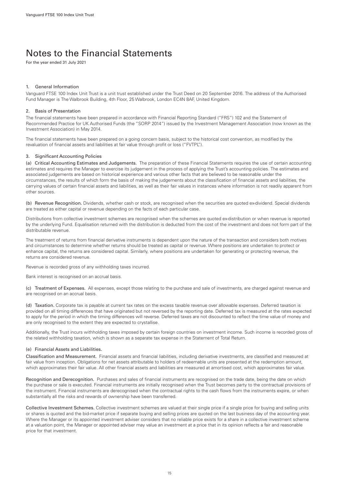## <span id="page-16-0"></span>Notes to the Financial Statements

For the year ended 31 July 2021

#### 1. General Information

Vanguard FTSE 100 Index Unit Trust is a unit trust established under the Trust Deed on 20 September 2016. The address of the Authorised Fund Manager is The Walbrook Building, 4th Floor, 25 Walbrook, London EC4N 8AF, United Kingdom.

#### **Basis of Presentation**

The financial statements have been prepared in accordance with Financial Reporting Standard ("FRS") 102 and the Statement of Recommended Practice for UK Authorised Funds (the "SORP 2014") issued by the Investment Management Association (now known as the Investment Association) in May 2014.

The financial statements have been prepared on a going concern basis, subject to the historical cost convention, as modified by the revaluation of financial assets and liabilities at fair value through profit or loss ("FVTPL").

#### 3. Significant Accounting Policies

(a) Critical Accounting Estimates and Judgements. The preparation of these Financial Statements requires the use of certain accounting estimates and requires the Manager to exercise its judgement in the process of applying the Trust's accounting policies. The estimates and associated judgements are based on historical experience and various other facts that are believed to be reasonable under the circumstances, the results of which form the basis of making the judgements about the classification of financial assets and liabilities, the carrying values of certain financial assets and liabilities, as well as their fair values in instances where information is not readily apparent from other sources.

(b) Revenue Recognition. Dividends, whether cash or stock, are recognised when the securities are quoted ex-dividend. Special dividends are treated as either capital or revenue depending on the facts of each particular case.

Distributions from collective investment schemes are recognised when the schemes are quoted ex-distribution or when revenue is reported by the underlying Fund. Equalisation returned with the distribution is deducted from the cost of the investment and does not form part of the distributable revenue.

The treatment of returns from financial derivative instruments is dependent upon the nature of the transaction and considers both motives and circumstances to determine whether returns should be treated as capital or revenue. Where positions are undertaken to protect or enhance capital, the returns are considered capital. Similarly, where positions are undertaken for generating or protecting revenue, the returns are considered revenue.

Revenue is recorded gross of any withholding taxes incurred.

Bank interest is recognised on an accrual basis.

(c) Treatment of Expenses. All expenses, except those relating to the purchase and sale of investments, are charged against revenue and are recognised on an accrual basis.

(d) Taxation. Corporate tax is payable at current tax rates on the excess taxable revenue over allowable expenses. Deferred taxation is provided on all timing differences that have originated but not reversed by the reporting date. Deferred tax is measured at the rates expected to apply for the period in which the timing differences will reverse. Deferred taxes are not discounted to reflect the time value of money and are only recognised to the extent they are expected to crystallise.

Additionally, the Trust incurs withholding taxes imposed by certain foreign countries on investment income. Such income is recorded gross of the related withholding taxation, which is shown as a separate tax expense in the Statement of Total Return.

#### (e) Financial Assets and Liabilities.

Classification and Measurement. Financial assets and financial liabilities, including derivative investments, are classified and measured at fair value from inception. Obligations for net assets attributable to holders of redeemable units are presented at the redemption amount, which approximates their fair value. All other financial assets and liabilities are measured at amortised cost, which approximates fair value.

Recognition and Derecognition. Purchases and sales of financial instruments are recognised on the trade date, being the date on which the purchase or sale is executed. Financial instruments are initially recognised when the Trust becomes party to the contractual provisions of the instrument. Financial instruments are derecognised when the contractual rights to the cash flows from the instruments expire, or when substantially all the risks and rewards of ownership have been transferred.

Collective Investment Schemes. Collective investment schemes are valued at their single price if a single price for buying and selling units or shares is quoted and the bid-market price if separate buying and selling prices are quoted on the last business day of the accounting year. Where the Manager or its appointed investment adviser considers that no reliable price exists for a share in a collective investment scheme at a valuation point, the Manager or appointed adviser may value an investment at a price that in its opinion reflects a fair and reasonable price for that investment.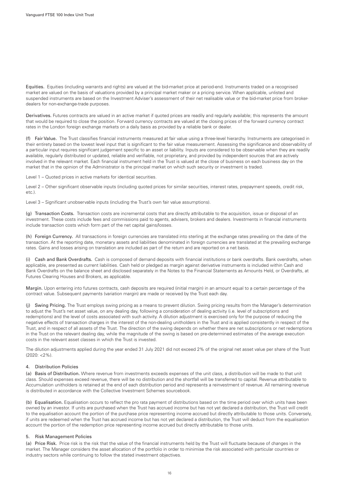Equities. Equities (including warrants and rights) are valued at the bid-market price at period-end. Instruments traded on a recognised market are valued on the basis of valuations provided by a principal market maker or a pricing service. When applicable, unlisted and suspended instruments are based on the Investment Adviser's assessment of their net realisable value or the bid-market price from brokerdealers for non-exchange-trade purposes.

Derivatives. Futures contracts are valued in an active market if quoted prices are readily and regularly available; this represents the amount that would be required to close the position. Forward currency contracts are valued at the closing prices of the forward currency contract rates in the London foreign exchange markets on a daily basis as provided by a reliable bank or dealer.

(f) Fair Value. The Trust classifies financial instruments measured at fair value using a three-level hierarchy. Instruments are categorised in their entirety based on the lowest level input that is significant to the fair value measurement. Assessing the significance and observability of a particular input requires significant judgement specific to an asset or liability. Inputs are considered to be observable when they are readily available, regularly distributed or updated, reliable and verifiable, not proprietary, and provided by independent sources that are actively involved in the relevant market. Each financial instrument held in the Trust is valued at the close of business on each business day on the market that in the opinion of the Administrator is the principal market on which such security or investment is traded.

Level 1 – Quoted prices in active markets for identical securities.

Level 2 – Other significant observable inputs (including quoted prices for similar securities, interest rates, prepayment speeds, credit risk, etc.).

Level 3 – Significant unobservable inputs (including the Trust's own fair value assumptions).

(g) Transaction Costs. Transaction costs are incremental costs that are directly attributable to the acquisition, issue or disposal of an investment. These costs include fees and commissions paid to agents, advisers, brokers and dealers. Investments in financial instruments include transaction costs which form part of the net capital gains/losses.

(h) Foreign Currency. All transactions in foreign currencies are translated into sterling at the exchange rates prevailing on the date of the transaction. At the reporting date, monetary assets and liabilities denominated in foreign currencies are translated at the prevailing exchange rates. Gains and losses arising on translation are included as part of the return and are reported on a net basis.

(i) Cash and Bank Overdrafts. Cash is composed of demand deposits with financial institutions or bank overdrafts. Bank overdrafts, when applicable, are presented as current liabilities. Cash held or pledged as margin against derivative instruments is included within Cash and Bank Overdrafts on the balance sheet and disclosed separately in the Notes to the Financial Statements as Amounts Held, or Overdrafts, at Futures Clearing Houses and Brokers, as applicable.

Margin. Upon entering into futures contracts, cash deposits are required (initial margin) in an amount equal to a certain percentage of the contract value. Subsequent payments (variation margin) are made or received by the Trust each day.

(j) Swing Pricing. The Trust employs swing pricing as a means to prevent dilution. Swing pricing results from the Manager's determination to adjust the Trust's net asset value, on any dealing day, following a consideration of dealing activity (i.e. level of subscriptions and redemptions) and the level of costs associated with such activity. A dilution adjustment is exercised only for the purpose of reducing the negative effects of transaction charges in the interest of the non-dealing unitholders in the Trust and is applied consistently in respect of the Trust, and in respect of all assets of the Trust. The direction of the swing depends on whether there are net subscriptions or net redemptions in the Trust on the relevant dealing day, while the magnitude of the swing is based on pre-determined estimates of the average execution costs in the relevant asset classes in which the Trust is invested.

The dilution adjustments applied during the year ended 31 July 2021 did not exceed 2% of the original net asset value per share of the Trust  $(2020 \cdot 29\%)$ 

#### 4. Distribution Policies

(a) Basis of Distribution. Where revenue from investments exceeds expenses of the unit class, a distribution will be made to that unit class. Should expenses exceed revenue, there will be no distribution and the shortfall will be transferred to capital. Revenue attributable to Accumulation unitholders is retained at the end of each distribution period and represents a reinvestment of revenue. All remaining revenue is distributed in accordance with the Collective Investment Schemes sourcebook.

(b) Equalisation. Equalisation occurs to reflect the pro rata payment of distributions based on the time period over which units have been owned by an investor. If units are purchased when the Trust has accrued income but has not yet declared a distribution, the Trust will credit to the equalisation account the portion of the purchase price representing income accrued but directly attributable to those units. Conversely, if units are redeemed when the Trust has accrued income but has not yet declared a distribution, the Trust will deduct from the equalisation account the portion of the redemption price representing income accrued but directly attributable to those units.

#### 5. Risk Management Policies

(a) Price Risk. Price risk is the risk that the value of the financial instruments held by the Trust will fluctuate because of changes in the market. The Manager considers the asset allocation of the portfolio in order to minimise the risk associated with particular countries or industry sectors while continuing to follow the stated investment objectives.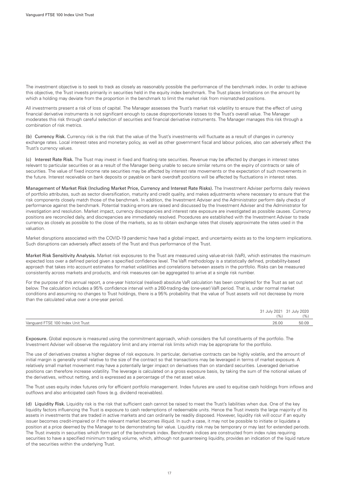The investment objective is to seek to track as closely as reasonably possible the performance of the benchmark index. In order to achieve this objective, the Trust invests primarily in securities held in the equity index benchmark. The Trust places limitations on the amount by which a holding may deviate from the proportion in the benchmark to limit the market risk from mismatched positions.

All investments present a risk of loss of capital. The Manager assesses the Trust's market risk volatility to ensure that the effect of using financial derivative instruments is not significant enough to cause disproportionate losses to the Trust's overall value. The Manager moderates this risk through careful selection of securities and financial derivative instruments. The Manager manages this risk through a combination of risk metrics.

(b) Currency Risk. Currency risk is the risk that the value of the Trust's investments will fluctuate as a result of changes in currency exchange rates. Local interest rates and monetary policy, as well as other government fiscal and labour policies, also can adversely affect the Trust's currency values.

(c) Interest Rate Risk. The Trust may invest in fixed and floating rate securities. Revenue may be affected by changes in interest rates relevant to particular securities or as a result of the Manager being unable to secure similar returns on the expiry of contracts or sale of securities. The value of fixed income rate securities may be affected by interest rate movements or the expectation of such movements in the future. Interest receivable on bank deposits or payable on bank overdraft positions will be affected by fluctuations in interest rates.

Management of Market Risk (Including Market Price, Currency and Interest Rate Risks). The Investment Adviser performs daily reviews of portfolio attributes, such as sector diversification, maturity and credit quality, and makes adjustments where necessary to ensure that the risk components closely match those of the benchmark. In addition, the Investment Adviser and the Administrator perform daily checks of performance against the benchmark. Potential tracking errors are raised and discussed by the Investment Adviser and the Administrator for investigation and resolution. Market impact, currency discrepancies and interest rate exposure are investigated as possible causes. Currency positions are reconciled daily, and discrepancies are immediately resolved. Procedures are established with the Investment Adviser to trade currency as closely as possible to the close of the markets, so as to obtain exchange rates that closely approximate the rates used in the valuation.

Market disruptions associated with the COVID-19 pandemic have had a global impact, and uncertainty exists as to the long-term implications. Such disruptions can adversely affect assets of the Trust and thus performance of the Trust.

Market Risk Sensitivity Analysis. Market risk exposures to the Trust are measured using value-at-risk (VaR), which estimates the maximum expected loss over a defined period given a specified confidence level. The VaR methodology is a statistically defined, probability-based approach that takes into account estimates for market volatilities and correlations between assets in the portfolio. Risks can be measured consistently across markets and products, and risk measures can be aggregated to arrive at a single risk number.

For the purpose of this annual report, a one-year historical (realised) absolute VaR calculation has been completed for the Trust as set out below. The calculation includes a 95% confidence interval with a 260-trading-day (one-year) VaR period. That is, under normal market conditions and assuming no changes to Trust holdings, there is a 95% probability that the value of Trust assets will not decrease by more than the calculated value over a one-year period.

|                                    |       | 31 July 2021 31 July 2020 |
|------------------------------------|-------|---------------------------|
|                                    | $1\%$ | $1\%$                     |
| Vanquard FTSE 100 Index Unit Trust | 26.00 | 50.09                     |

Exposure. Global exposure is measured using the commitment approach, which considers the full constituents of the portfolio. The Investment Adviser will observe the regulatory limit and any internal risk limits which may be appropriate for the portfolio.

The use of derivatives creates a higher degree of risk exposure. In particular, derivative contracts can be highly volatile, and the amount of initial margin is generally small relative to the size of the contract so that transactions may be leveraged in terms of market exposure. A relatively small market movement may have a potentially larger impact on derivatives than on standard securities. Leveraged derivative positions can therefore increase volatility. The leverage is calculated on a gross exposure basis, by taking the sum of the notional values of the derivatives, without netting, and is expressed as a percentage of the net asset value.

The Trust uses equity index futures only for efficient portfolio management. Index futures are used to equitise cash holdings from inflows and outflows and also anticipated cash flows (e.g. dividend receivables).

(d) Liquidity Risk. Liquidity risk is the risk that sufficient cash cannot be raised to meet the Trust's liabilities when due. One of the key liquidity factors influencing the Trust is exposure to cash redemptions of redeemable units. Hence the Trust invests the large majority of its assets in investments that are traded in active markets and can ordinarily be readily disposed. However, liquidity risk will occur if an equity issuer becomes credit-impaired or if the relevant market becomes illiquid. In such a case, it may not be possible to initiate or liquidate a position at a price deemed by the Manager to be demonstrating fair value. Liquidity risk may be temporary or may last for extended periods. The Trust invests in securities which form part of the benchmark index. Benchmark indices are constructed from index rules requiring securities to have a specified minimum trading volume, which, although not guaranteeing liquidity, provides an indication of the liquid nature of the securities within the underlying Trust.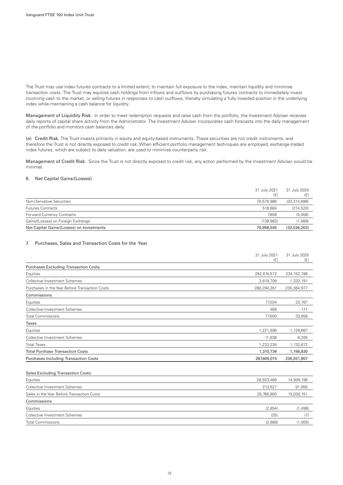The Trust may use index futures contracts to a limited extent, to maintain full exposure to the index, maintain liquidity and minimise transaction costs. The Trust may equitise cash holdings from inflows and outflows by purchasing futures contracts to immediately invest incoming cash to the market, or selling futures in responses to cash outflows, thereby simulating a fully invested position in the underlying index while maintaining a cash balance for liquidity.

Management of Liquidity Risk. In order to meet redemption requests and raise cash from the portfolio, the Investment Adviser receives daily reports of capital share activity from the Administrator. The Investment Adviser incorporates cash forecasts into the daily management of the portfolio and monitors cash balances daily.

(e) Credit Risk. The Trust invests primarily in equity and equity-based instruments. These securities are not credit instruments, and therefore the Trust is not directly exposed to credit risk. When efficient portfolio management techniques are employed, exchange-traded index futures, which are subject to daily valuation, are used to minimise counterparty risk.

Management of Credit Risk. Since the Trust is not directly exposed to credit risk, any action performed by the Investment Adviser would be minimal.

#### 6. Net Capital Gains/(Losses)

| Forward Currency Contracts                | 7.858      | (5,058)      |
|-------------------------------------------|------------|--------------|
| Gains/(Losses) on Foreign Exchange        | (138.983)  | (1,989)      |
| Net Capital Gains/(Losses) on Investments | 70.958.545 | (33,536,263) |

#### 7. Purchases, Sales and Transaction Costs for the Year

|                                                | 31 July 2021<br>(E) | 31 July 2020<br>(E) |
|------------------------------------------------|---------------------|---------------------|
| <b>Purchases Excluding Transaction Costs:</b>  |                     |                     |
| Equities                                       | 282,674,572         | 234, 152, 786       |
| Collective Investment Schemes                  | 3,619,709           | 1,232,191           |
| Purchases in the Year Before Transaction Costs | 286,294,281         | 235,384,977         |
| Commissions                                    |                     |                     |
| Equities                                       | 77,034              | 33,787              |
| Collective Investment Schemes                  | 466                 | 171                 |
| <b>Total Commissions</b>                       | 77,500              | 33,958              |
| Taxes                                          |                     |                     |
| Equities                                       | 1,221,596           | 1,126,667           |
| Collective Investment Schemes                  | 11,638              | 6,205               |
| <b>Total Taxes</b>                             | 1,233,234           | 1,132,872           |
| <b>Total Purchase Transaction Costs</b>        | 1,310,734           | 1,166,830           |
| <b>Purchases Including Transaction Costs</b>   | 287,605,015         | 236,551,807         |
| <b>Sales Excluding Transaction Costs:</b>      |                     |                     |
| The contract of the con-                       | 00.550.400          | 1100010             |

| Equities                                   | 28,553,466 | 14,938,196 |
|--------------------------------------------|------------|------------|
| Collective Investment Schemes              | 213.527    | 91,955     |
| Sales in the Year Before Transaction Costs | 28.766.993 | 15,030,151 |
| Commissions                                |            |            |
| Equities                                   | (2,854)    | (1,498)    |
| Collective Investment Schemes              | (35)       | (7)        |
| <b>Total Commissions</b>                   | (2,889)    | (1,505)    |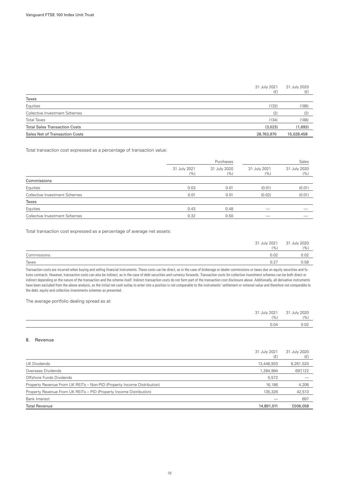#### 31 July 2021 (£) 31 July 2020 (£)

| Taxes                                 |            |            |
|---------------------------------------|------------|------------|
| Equities                              | (132)      | (186)      |
| Collective Investment Schemes         | (2)        | (2)        |
| <b>Total Taxes</b>                    | (134)      | (188)      |
| <b>Total Sales Transaction Costs</b>  | (3,023)    | (1,693)    |
| <b>Sales Net of Transaction Costs</b> | 28,763,970 | 15,028,458 |

Total transaction cost expressed as a percentage of transaction value:

|                               | Purchases           |                      |                      | Sales                |  |
|-------------------------------|---------------------|----------------------|----------------------|----------------------|--|
|                               | 31 July 2021<br>(%) | 31 July 2020<br>(% ) | 31 July 2021<br>(% ) | 31 July 2020<br>(% ) |  |
| Commissions                   |                     |                      |                      |                      |  |
| Equities                      | 0.03                | 0.01                 | (0.01)               | (0.01)               |  |
| Collective Investment Schemes | 0.01                | 0.01                 | (0.02)               | (0.01)               |  |
| Taxes                         |                     |                      |                      |                      |  |
| Equities                      | 0.43                | 0.48                 |                      |                      |  |
| Collective Investment Schemes | 0.32                | 0.50                 |                      |                      |  |

Total transaction cost expressed as a percentage of average net assets:

|             | 31 July 2021 | 31 July 2020 |
|-------------|--------------|--------------|
|             | (9/0)        | (9/0)        |
| Commissions | 0.02         | 0.02         |
| Taxes       | 0.27         | 0.58         |

Transaction costs are incurred when buying and selling financial instruments. These costs can be direct, as in the case of brokerage or dealer commissions or taxes due on equity securities and futures contracts. However, transaction costs can also be indirect, as in the case of debt securities and currency forwards. Transaction costs for collective investment schemes can be both direct or indirect depending on the nature of the transaction and the scheme itself. Indirect transaction costs do not form part of the transaction cost disclosure above. Additionally, all derivative instruments have been excluded from the above analysis, as the initial net cash outlay to enter into a position is not comparable to the instruments' settlement or notional value and therefore not comparable to the debt, equity and collective investments schemes as presented.

The average portfolio dealing spread as at:

| 31 July 2021 | 31 July 2020 |
|--------------|--------------|
| (%           | (9/0)        |
| 0.04         | ה ה<br>U.UZ  |

#### 8. Revenue

|                                                                         | 31 July 2021 | 31 July 2020 |
|-------------------------------------------------------------------------|--------------|--------------|
|                                                                         | (£)          | (£)          |
| UK Dividends                                                            | 13,448,933   | 6,261,520    |
| Overseas Dividends                                                      | 1,284,994    | 697,122      |
| Offshore Funds Dividends                                                | 5,572        |              |
| Property Revenue From UK REITs - Non-PID (Property Income Distribution) | 16,186       | 4,206        |
| Property Revenue From UK REITs - PID (Property Income Distribution)     | 135,326      | 42,513       |
| <b>Bank Interest</b>                                                    |              | 697          |
| <b>Total Revenue</b>                                                    | 14,891,011   | 7,006,058    |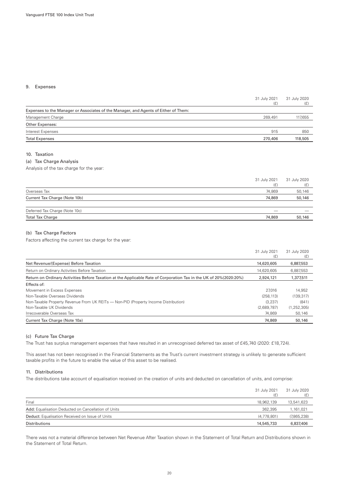#### 9. Expenses

|                                                                                     | 31 July 2021<br>(£) | 31 July 2020<br>(E) |
|-------------------------------------------------------------------------------------|---------------------|---------------------|
| Expenses to the Manager or Associates of the Manager, and Agents of Either of Them: |                     |                     |
| Management Charge                                                                   | 269,491             | 117,655             |
| Other Expenses:                                                                     |                     |                     |
| Interest Expenses                                                                   | 915                 | 850                 |
| <b>Total Expenses</b>                                                               | 270,406             | 118,505             |
|                                                                                     |                     |                     |
|                                                                                     |                     |                     |

#### 10. Taxation

#### (a) Tax Charge Analysis

Analysis of the tax charge for the year:

|                                | (£     | 31 July 2021 31 July 2020<br>(E) |
|--------------------------------|--------|----------------------------------|
| Overseas Tax                   | 74.869 | 50,146                           |
| Current Tax Charge (Note 10b)  | 74,869 | 50,146                           |
|                                |        |                                  |
| Deferred Tax Charge (Note 10c) |        |                                  |
| <b>Total Tax Charge</b>        | 74,869 | 50,146                           |
|                                |        |                                  |

#### (b) Tax Charge Factors

Factors affecting the current tax charge for the year:

|                                                                                                                    | 31 July 2021<br>(£) | 31 July 2020<br>(E) |
|--------------------------------------------------------------------------------------------------------------------|---------------------|---------------------|
| Net Revenue/(Expense) Before Taxation                                                                              | 14,620,605          | 6,887,553           |
| Return on Ordinary Activities Before Taxation                                                                      | 14.620.605          | 6,887,553           |
| Return on Ordinary Activities Before Taxation at the Applicable Rate of Corporation Tax in the UK of 20%(2020:20%) | 2.924.121           | 1,377,511           |
| Effects of:                                                                                                        |                     |                     |
| Movement in Excess Expenses                                                                                        | 27.016              | 14,952              |
| Non-Taxable Overseas Dividends                                                                                     | (258.113)           | (139, 317)          |
| Non-Taxable Property Revenue From UK REITs — Non-PID (Property Income Distribution)                                | (3.237)             | (841)               |
| Non-Taxable UK Dividends                                                                                           | (2,689,787)         | (1, 252, 305)       |
| Irrecoverable Overseas Tax                                                                                         | 74.869              | 50,146              |
| Current Tax Charge (Note 10a)                                                                                      | 74.869              | 50,146              |

#### (c) Future Tax Charge

The Trust has surplus management expenses that have resulted in an unrecognised deferred tax asset of £45,740 (2020: £18,724).

This asset has not been recognised in the Financial Statements as the Trust's current investment strategy is unlikely to generate sufficient taxable profits in the future to enable the value of this asset to be realised.

#### 11. Distributions

The distributions take account of equalisation received on the creation of units and deducted on cancellation of units, and comprise:

|                                                     | 31 July 2021 | 31 July 2020 |
|-----------------------------------------------------|--------------|--------------|
| Final                                               | 18.962.139   | 13,541,623   |
| Add: Equalisation Deducted on Cancellation of Units | 362.395      | 1,161,021    |
| Deduct: Equalisation Received on Issue of Units     | (4.778.801)  | (7,865,238)  |
| Distributions                                       | 14,545,733   | 6,837,406    |

There was not a material difference between Net Revenue After Taxation shown in the Statement of Total Return and Distributions shown in the Statement of Total Return.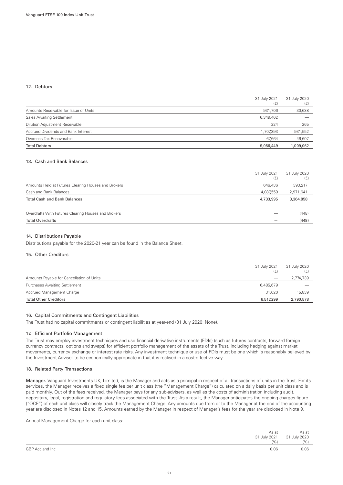#### 12. Debtors

|                                       | 31 July 2021<br>(E) | 31 July 2020<br>(E) |
|---------------------------------------|---------------------|---------------------|
| Amounts Receivable for Issue of Units | 931,706             | 30,638              |
| <b>Sales Awaiting Settlement</b>      | 6,349,462           |                     |
| Dilution Adjustment Receivable        | 224                 | 265                 |
| Accrued Dividends and Bank Interest   | 1,707,393           | 931,552             |
| Overseas Tax Recoverable              | 67.664              | 46,607              |
| <b>Total Debtors</b>                  | 9,056,449           | 1,009,062           |

#### 13. Cash and Bank Balances

|                                                     | 31 July 2021<br>(E) | 31 July 2020<br>(E) |
|-----------------------------------------------------|---------------------|---------------------|
| Amounts Held at Futures Clearing Houses and Brokers | 646,436             | 393,217             |
| Cash and Bank Balances                              | 4,087,559           | 2,971,641           |
| <b>Total Cash and Bank Balances</b>                 | 4,733,995           | 3,364,858           |
|                                                     |                     |                     |
| Overdrafts With Futures Clearing Houses and Brokers |                     | (448)               |
| <b>Total Overdrafts</b>                             |                     | (448)               |
|                                                     |                     |                     |

#### 14. Distributions Payable

Distributions payable for the 2020-21 year can be found in the Balance Sheet.

#### 15. Other Creditors

|                                           | 31 July 2021<br>(£ | 31 July 2020 |
|-------------------------------------------|--------------------|--------------|
| Amounts Payable for Cancellation of Units |                    | 2,774,739    |
| <b>Purchases Awaiting Settlement</b>      | 6.485.679          |              |
| Accrued Management Charge                 | 31.620             | 15,839       |
| <b>Total Other Creditors</b>              | 6,517,299          | 2,790,578    |

#### 16. Capital Commitments and Contingent Liabilities

The Trust had no capital commitments or contingent liabilities at year-end (31 July 2020: None).

#### 17. Efficient Portfolio Management

The Trust may employ investment techniques and use financial derivative instruments (FDIs) (such as futures contracts, forward foreign currency contracts, options and swaps) for efficient portfolio management of the assets of the Trust, including hedging against market movements, currency exchange or interest rate risks. Any investment technique or use of FDIs must be one which is reasonably believed by the Investment Adviser to be economically appropriate in that it is realised in a cost-effective way.

#### 18. Related Party Transactions

Manager. Vanguard Investments UK, Limited, is the Manager and acts as a principal in respect of all transactions of units in the Trust. For its services, the Manager receives a fixed single fee per unit class (the "Management Charge") calculated on a daily basis per unit class and is paid monthly. Out of the fees received, the Manager pays for any sub-advisers, as well as the costs of administration including audit, depositary, legal, registration and regulatory fees associated with the Trust. As a result, the Manager anticipates the ongoing charges figure ("OCF") of each unit class will closely track the Management Charge. Any amounts due from or to the Manager at the end of the accounting year are disclosed in Notes 12 and 15. Amounts earned by the Manager in respect of Manager's fees for the year are disclosed in Note 9.

Annual Management Charge for each unit class:

|                 | As at<br>31 July 2021<br>(9) | As at<br>31 July 2020<br>(%) |
|-----------------|------------------------------|------------------------------|
| GBP Acc and Inc | 0.06                         | 0.06                         |
|                 |                              |                              |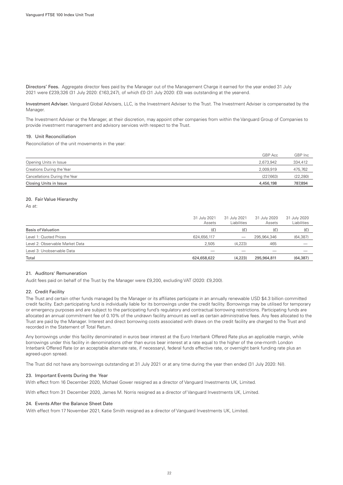Directors' Fees. Aggregate director fees paid by the Manager out of the Management Charge it earned for the year ended 31 July 2021 were £239,326 (31 July 2020: £163,247), of which £0 (31 July 2020: £0) was outstanding at the year-end.

Investment Adviser. Vanguard Global Advisers, LLC, is the Investment Adviser to the Trust. The Investment Adviser is compensated by the Manager.

The Investment Adviser or the Manager, at their discretion, may appoint other companies from within the Vanguard Group of Companies to provide investment management and advisory services with respect to the Trust.

#### 19. Unit Reconciliation

Reconciliation of the unit movements in the year:

|                               | GBP Acc   | GBP Inc.  |
|-------------------------------|-----------|-----------|
| Opening Units in Issue        | 2.673.942 | 334,412   |
| Creations During the Year     | 2.009.919 | 475,762   |
| Cancellations During the Year | (227.663) | (22, 280) |
| Closing Units in Issue        | 4,456,198 | 787,894   |

#### 20. Fair Value Hierarchy

As at:

| 31 July 2021<br>Assets | 31 July 2021<br><b>Liabilities</b> | 31 July 2020<br>Assets | 31 July 2020<br>Liabilities |
|------------------------|------------------------------------|------------------------|-----------------------------|
| (E)                    | (E)                                | (E)                    | (E)                         |
| 624,656,117            | $\sim$                             | 295,964,346            | (64, 387)                   |
| 2,505                  | (4,223)                            | 465                    |                             |
|                        |                                    |                        |                             |
| 624,658,622            | (4,223)                            | 295,964,811            | (64, 387)                   |
|                        |                                    |                        |                             |

#### 21. Auditors' Remuneration

Audit fees paid on behalf of the Trust by the Manager were £9,200, excluding VAT (2020: £9,200).

#### 22. Credit Facility

The Trust and certain other funds managed by the Manager or its affiliates participate in an annually renewable USD \$4.3 billion committed credit facility. Each participating fund is individually liable for its borrowings under the credit facility. Borrowings may be utilised for temporary or emergency purposes and are subject to the participating fund's regulatory and contractual borrowing restrictions. Participating funds are allocated an annual commitment fee of 0.10% of the undrawn facility amount as well as certain administrative fees. Any fees allocated to the Trust are paid by the Manager. Interest and direct borrowing costs associated with draws on the credit facility are charged to the Trust and recorded in the Statement of Total Return.

Any borrowings under this facility denominated in euros bear interest at the Euro Interbank Offered Rate plus an applicable margin, while borrowings under this facility in denominations other than euros bear interest at a rate equal to the higher of the one-month London Interbank Offered Rate (or an acceptable alternate rate, if necessary), federal funds effective rate, or overnight bank funding rate plus an agreed-upon spread.

The Trust did not have any borrowings outstanding at 31 July 2021 or at any time during the year then ended (31 July 2020: Nil).

#### 23. Important Events During the Year

With effect from 16 December 2020, Michael Gower resigned as a director of Vanguard Investments UK, Limited.

With effect from 31 December 2020, James M. Norris resigned as a director of Vanguard Investments UK, Limited.

#### 24. Events After the Balance Sheet Date

With effect from 17 November 2021, Katie Smith resigned as a director of Vanguard Investments UK, Limited.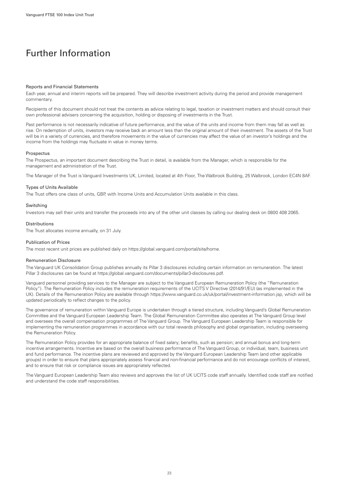## <span id="page-24-0"></span>Further Information

#### Reports and Financial Statements

Each year, annual and interim reports will be prepared. They will describe investment activity during the period and provide management commentary.

Recipients of this document should not treat the contents as advice relating to legal, taxation or investment matters and should consult their own professional advisers concerning the acquisition, holding or disposing of investments in the Trust.

Past performance is not necessarily indicative of future performance, and the value of the units and income from them may fall as well as rise. On redemption of units, investors may receive back an amount less than the original amount of their investment. The assets of the Trust will be in a variety of currencies, and therefore movements in the value of currencies may affect the value of an investor's holdings and the income from the holdings may fluctuate in value in money terms.

#### **Prospectus**

The Prospectus, an important document describing the Trust in detail, is available from the Manager, which is responsible for the management and administration of the Trust.

The Manager of the Trust is Vanguard Investments UK, Limited, located at 4th Floor, The Walbrook Building, 25 Walbrook, London EC4N 8AF.

#### Types of Units Available

The Trust offers one class of units, GBP, with Income Units and Accumulation Units available in this class.

#### Switching

Investors may sell their units and transfer the proceeds into any of the other unit classes by calling our dealing desk on 0800 408 2065.

#### **Distributions**

The Trust allocates income annually, on 31 July.

#### Publication of Prices

The most recent unit prices are published daily on<https://global.vanguard.com/portal/site/home.>

#### Remuneration Disclosure

The Vanguard UK Consolidation Group publishes annually its Pillar 3 disclosures including certain information on remuneration. The latest Pillar 3 disclosures can be found at https://global.vanguard.com/documents/pillar3-disclosures.pdf.

Vanguard personnel providing services to the Manager are subject to the Vanguard European Remuneration Policy (the "Remuneration Policy"). The Remuneration Policy includes the remuneration requirements of the UCITS V Directive (2014/91/EU) (as implemented in the UK). Details of the Remuneration Policy are available through https://www.vanguard.co.uk/uk/portal/investment-information.jsp, which will be updated periodically to reflect changes to the policy.

The governance of remuneration within Vanguard Europe is undertaken through a tiered structure, including Vanguard's Global Remuneration Committee and the Vanguard European Leadership Team. The Global Remuneration Committee also operates at The Vanguard Group level and oversees the overall compensation programmes of The Vanguard Group. The Vanguard European Leadership Team is responsible for implementing the remuneration programmes in accordance with our total rewards philosophy and global organisation, including overseeing the Remuneration Policy.

The Remuneration Policy provides for an appropriate balance of fixed salary; benefits, such as pension; and annual bonus and long-term incentive arrangements. Incentive are based on the overall business performance of The Vanguard Group, or individual, team, business unit and fund performance. The incentive plans are reviewed and approved by the Vanguard European Leadership Team (and other applicable groups) in order to ensure that plans appropriately assess financial and non-financial performance and do not encourage conflicts of interest, and to ensure that risk or compliance issues are appropriately reflected.

The Vanguard European Leadership Team also reviews and approves the list of UK UCITS code staff annually. Identified code staff are notified and understand the code staff responsibilities.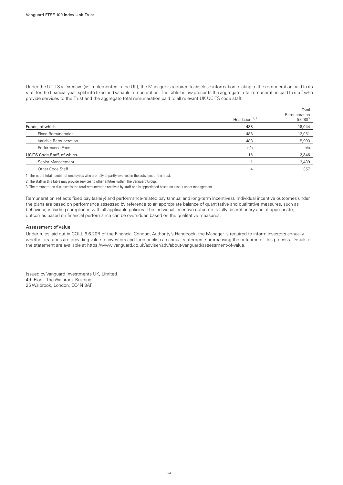Under the UCITS V Directive (as implemented in the UK), the Manager is required to disclose information relating to the remuneration paid to its staff for the financial year, split into fixed and variable remuneration. The table below presents the aggregate total remuneration paid to staff who provide services to the Trust and the aggregate total remuneration paid to all relevant UK UCITS code staff.

|                            |                                       | Total                      |
|----------------------------|---------------------------------------|----------------------------|
|                            | Headcount <sup><math>1,2</math></sup> | Remuneration<br>$(E000)^3$ |
| Funds, of which            | 488                                   | 18,044                     |
| <b>Fixed Remuneration</b>  | 488                                   | 12,051                     |
| Variable Remuneration      | 488                                   | 5,993                      |
| Performance Fees           | n/a                                   | n/a                        |
| UCITS Code Staff, of which | 15                                    | 2,846                      |
| Senior Management          |                                       | 2,489                      |
| Other Code Staff           | 4                                     | 357                        |

1 This is the total number of employees who are fully or partly involved in the activities of the Trust.

2 The staff in this table may provide services to other entities within The Vanguard Group.

3 The remuneration disclosed is the total remuneration received by staff and is apportioned based on assets under management.

Remuneration reflects fixed pay (salary) and performance-related pay (annual and long-term incentives). Individual incentive outcomes under the plans are based on performance assessed by reference to an appropriate balance of quantitative and qualitative measures, such as behaviour, including compliance with all applicable policies. The individual incentive outcome is fully discretionary and, if appropriate, outcomes based on financial performance can be overridden based on the qualitative measures.

#### Assessment of Value

Under rules laid out in COLL 6.6.20R of the Financial Conduct Authority's Handbook, the Manager is required to inform investors annually whether its funds are providing value to investors and then publish an annual statement summarising the outcome of this process. Details of the statement are available at https://www.vanguard.co.uk/adviser/adv/about-vanguard/assessment-of-value.

Issued by Vanguard Investments UK, Limited 4th Floor, The Walbrook Building, 25 Walbrook, London, EC4N 8AF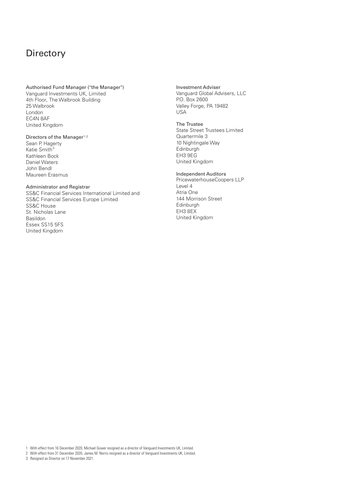## <span id="page-26-0"></span>**Directory**

#### Authorised Fund Manager ("the Manager")

Vanguard Investments UK, Limited 4th Floor, The Walbrook Building 25 Walbrook London EC4N 8AF United Kingdom

#### Directors of the Manager<sup>1,2</sup>

Sean P. Hagerty Katie Smith 3Kathleen Bock Daniel Waters John Bendl Maureen Erasmus

#### Administrator and Registrar

SS&C Financial Services International Limited and SS&C Financial Services Europe Limited SS&C House St. Nicholas Lane Basildon Essex SS15 5FS United Kingdom

Investment Adviser Vanguard Global Advisers, LLC P.O. Box 2600 Valley Forge, PA 19482 USA

#### The Trustee State Street Trustees Limited Quartermile 3 10 Nightingale Way Edinburgh EH3 9EG United Kingdom

#### Independent Auditors

PricewaterhouseCoopers LLP Level 4 Atria One 144 Morrison Street Edinburgh EH3 8EX United Kingdom

1 With effect from 16 December 2020, Michael Gower resigned as a director of Vanguard Investments UK, Limited.

2 With effect from 31 December 2020, James M. Norris resigned as a director of Vanguard Investments UK, Limited.

3 Resigned as Director on 17 November 2021.